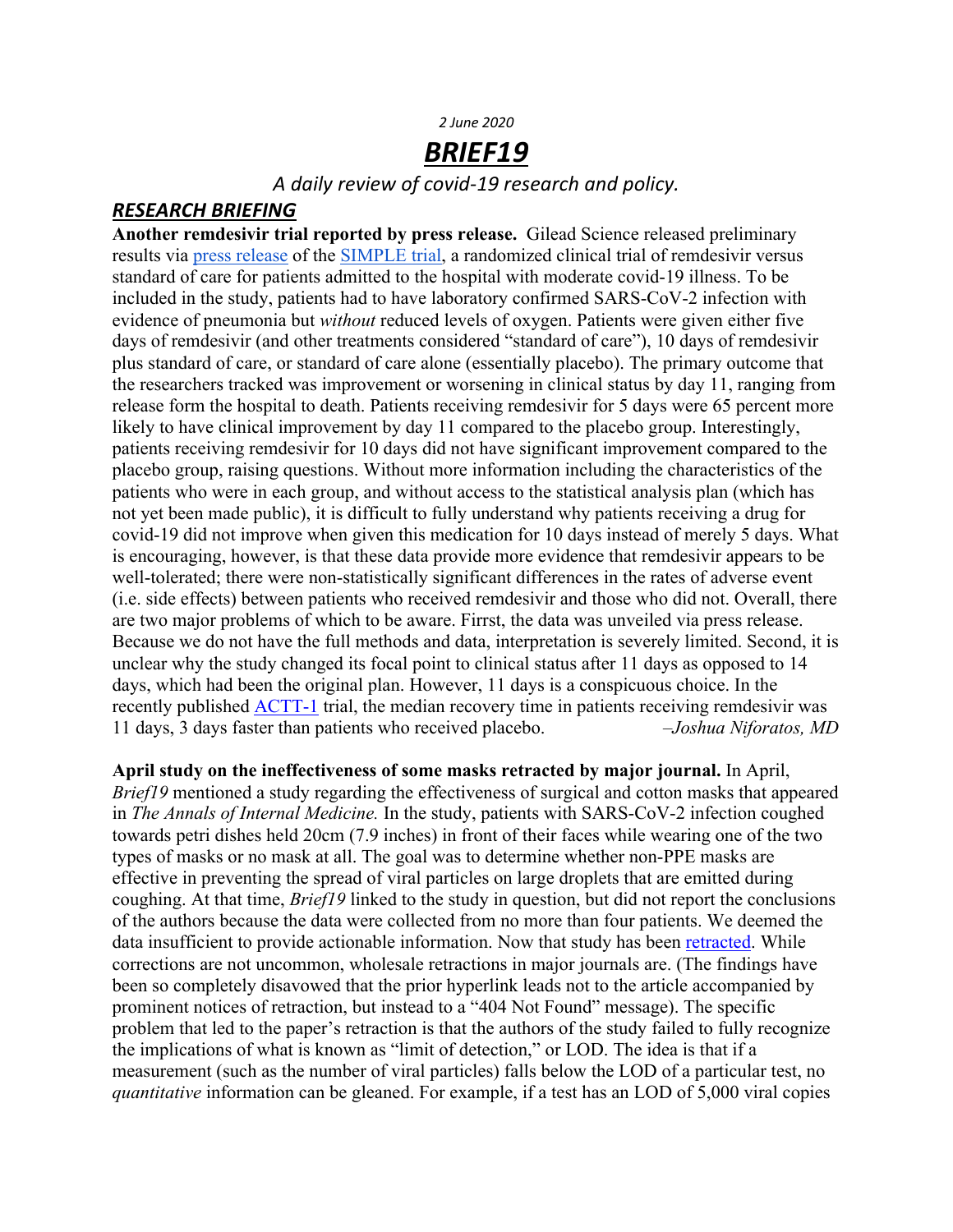#### *2 June 2020*

# *BRIEF19*

*A daily review of covid-19 research and policy.*

### *RESEARCH BRIEFING*

**Another remdesivir trial reported by press release.** Gilead Science released preliminary results via press release of the **SIMPLE** trial, a randomized clinical trial of remdesivir versus standard of care for patients admitted to the hospital with moderate covid-19 illness. To be included in the study, patients had to have laboratory confirmed SARS-CoV-2 infection with evidence of pneumonia but *without* reduced levels of oxygen. Patients were given either five days of remdesivir (and other treatments considered "standard of care"), 10 days of remdesivir plus standard of care, or standard of care alone (essentially placebo). The primary outcome that the researchers tracked was improvement or worsening in clinical status by day 11, ranging from release form the hospital to death. Patients receiving remdesivir for 5 days were 65 percent more likely to have clinical improvement by day 11 compared to the placebo group. Interestingly, patients receiving remdesivir for 10 days did not have significant improvement compared to the placebo group, raising questions. Without more information including the characteristics of the patients who were in each group, and without access to the statistical analysis plan (which has not yet been made public), it is difficult to fully understand why patients receiving a drug for covid-19 did not improve when given this medication for 10 days instead of merely 5 days. What is encouraging, however, is that these data provide more evidence that remdesivir appears to be well-tolerated; there were non-statistically significant differences in the rates of adverse event (i.e. side effects) between patients who received remdesivir and those who did not. Overall, there are two major problems of which to be aware. Firrst, the data was unveiled via press release. Because we do not have the full methods and data, interpretation is severely limited. Second, it is unclear why the study changed its focal point to clinical status after 11 days as opposed to 14 days, which had been the original plan. However, 11 days is a conspicuous choice. In the recently published ACTT-1 trial, the median recovery time in patients receiving remdesivir was 11 days, 3 days faster than patients who received placebo. *–Joshua Niforatos, MD*

**April study on the ineffectiveness of some masks retracted by major journal.** In April, *Brief19* mentioned a study regarding the effectiveness of surgical and cotton masks that appeared in *The Annals of Internal Medicine.* In the study, patients with SARS-CoV-2 infection coughed towards petri dishes held 20cm (7.9 inches) in front of their faces while wearing one of the two types of masks or no mask at all. The goal was to determine whether non-PPE masks are effective in preventing the spread of viral particles on large droplets that are emitted during coughing. At that time, *Brief19* linked to the study in question, but did not report the conclusions of the authors because the data were collected from no more than four patients. We deemed the data insufficient to provide actionable information. Now that study has been retracted. While corrections are not uncommon, wholesale retractions in major journals are. (The findings have been so completely disavowed that the prior hyperlink leads not to the article accompanied by prominent notices of retraction, but instead to a "404 Not Found" message). The specific problem that led to the paper's retraction is that the authors of the study failed to fully recognize the implications of what is known as "limit of detection," or LOD. The idea is that if a measurement (such as the number of viral particles) falls below the LOD of a particular test, no *quantitative* information can be gleaned. For example, if a test has an LOD of 5,000 viral copies